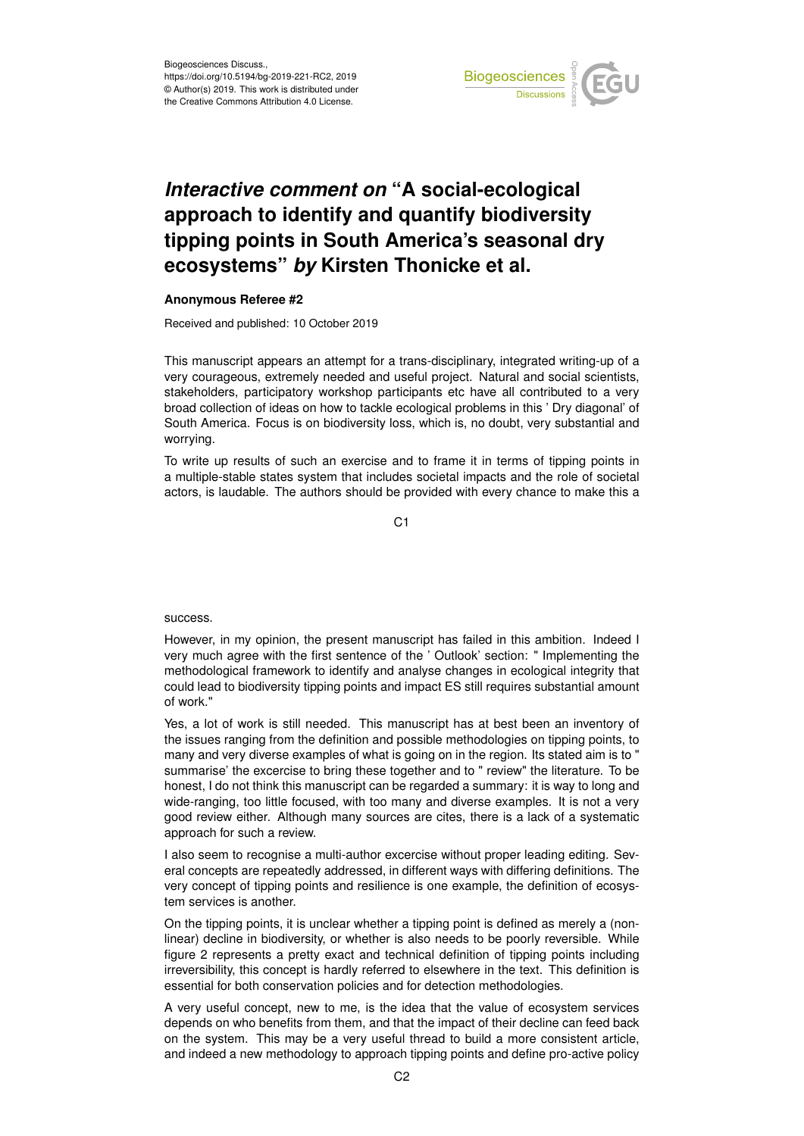

## *Interactive comment on* **"A social-ecological approach to identify and quantify biodiversity tipping points in South America's seasonal dry ecosystems"** *by* **Kirsten Thonicke et al.**

## **Anonymous Referee #2**

Received and published: 10 October 2019

This manuscript appears an attempt for a trans-disciplinary, integrated writing-up of a very courageous, extremely needed and useful project. Natural and social scientists, stakeholders, participatory workshop participants etc have all contributed to a very broad collection of ideas on how to tackle ecological problems in this ' Dry diagonal' of South America. Focus is on biodiversity loss, which is, no doubt, very substantial and worrying.

To write up results of such an exercise and to frame it in terms of tipping points in a multiple-stable states system that includes societal impacts and the role of societal actors, is laudable. The authors should be provided with every chance to make this a

C<sub>1</sub>

success.

However, in my opinion, the present manuscript has failed in this ambition. Indeed I very much agree with the first sentence of the ' Outlook' section: " Implementing the methodological framework to identify and analyse changes in ecological integrity that could lead to biodiversity tipping points and impact ES still requires substantial amount of work."

Yes, a lot of work is still needed. This manuscript has at best been an inventory of the issues ranging from the definition and possible methodologies on tipping points, to many and very diverse examples of what is going on in the region. Its stated aim is to " summarise' the excercise to bring these together and to " review" the literature. To be honest, I do not think this manuscript can be regarded a summary: it is way to long and wide-ranging, too little focused, with too many and diverse examples. It is not a very good review either. Although many sources are cites, there is a lack of a systematic approach for such a review.

I also seem to recognise a multi-author excercise without proper leading editing. Several concepts are repeatedly addressed, in different ways with differing definitions. The very concept of tipping points and resilience is one example, the definition of ecosystem services is another.

On the tipping points, it is unclear whether a tipping point is defined as merely a (nonlinear) decline in biodiversity, or whether is also needs to be poorly reversible. While figure 2 represents a pretty exact and technical definition of tipping points including irreversibility, this concept is hardly referred to elsewhere in the text. This definition is essential for both conservation policies and for detection methodologies.

A very useful concept, new to me, is the idea that the value of ecosystem services depends on who benefits from them, and that the impact of their decline can feed back on the system. This may be a very useful thread to build a more consistent article, and indeed a new methodology to approach tipping points and define pro-active policy